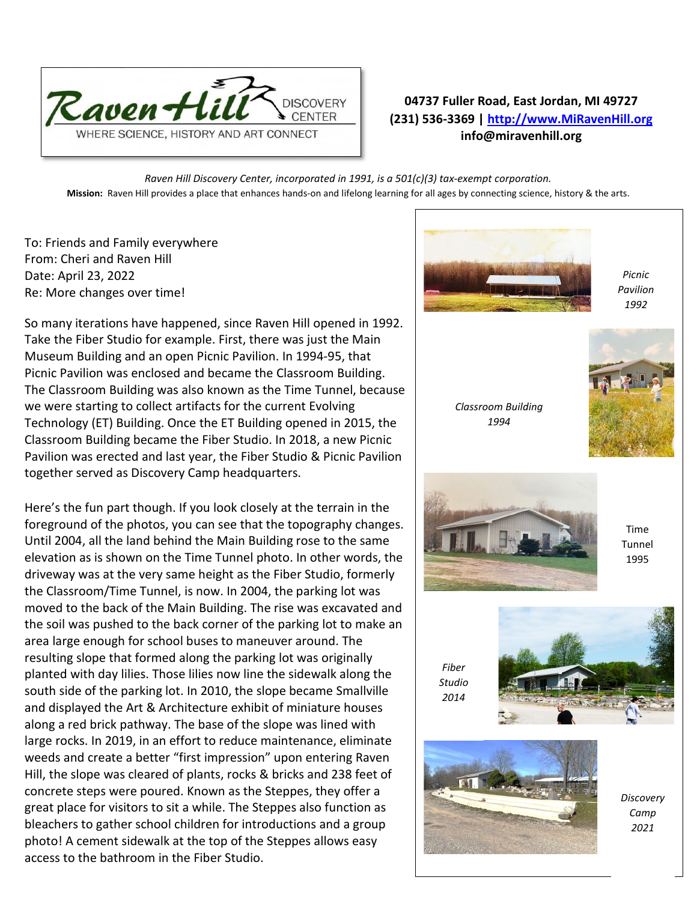

## **04737 Fuller Road, East Jordan, MI 49727 (231) 536-3369 | [http://www.MiRavenHill.org](http://www.miravenhill.org/) info@miravenhill.org**

*Raven Hill Discovery Center, incorporated in 1991, is a 501(c)(3) tax-exempt corporation.* **Mission:** Raven Hill provides a place that enhances hands-on and lifelong learning for all ages by connecting science, history & the arts.

To: Friends and Family everywhere From: Cheri and Raven Hill Date: April 23, 2022 Re: More changes over time!

So many iterations have happened, since Raven Hill opened in 1992. Take the Fiber Studio for example. First, there was just the Main Museum Building and an open Picnic Pavilion. In 1994-95, that Picnic Pavilion was enclosed and became the Classroom Building. The Classroom Building was also known as the Time Tunnel, because we were starting to collect artifacts for the current Evolving Technology (ET) Building. Once the ET Building opened in 2015, the Classroom Building became the Fiber Studio. In 2018, a new Picnic Pavilion was erected and last year, the Fiber Studio & Picnic Pavilion together served as Discovery Camp headquarters.

Here's the fun part though. If you look closely at the terrain in the foreground of the photos, you can see that the topography changes. Until 2004, all the land behind the Main Building rose to the same elevation as is shown on the Time Tunnel photo. In other words, the driveway was at the very same height as the Fiber Studio, formerly the Classroom/Time Tunnel, is now. In 2004, the parking lot was moved to the back of the Main Building. The rise was excavated and the soil was pushed to the back corner of the parking lot to make an area large enough for school buses to maneuver around. The resulting slope that formed along the parking lot was originally planted with day lilies. Those lilies now line the sidewalk along the south side of the parking lot. In 2010, the slope became Smallville and displayed the Art & Architecture exhibit of miniature houses along a red brick pathway. The base of the slope was lined with large rocks. In 2019, in an effort to reduce maintenance, eliminate weeds and create a better "first impression" upon entering Raven Hill, the slope was cleared of plants, rocks & bricks and 238 feet of concrete steps were poured. Known as the Steppes, they offer a great place for visitors to sit a while. The Steppes also function as bleachers to gather school children for introductions and a group photo! A cement sidewalk at the top of the Steppes allows easy access to the bathroom in the Fiber Studio.



*Picnic Pavilion 1992*

*Classroom Building 1994*





Time Tunnel 1995



*Discovery Camp 2021*